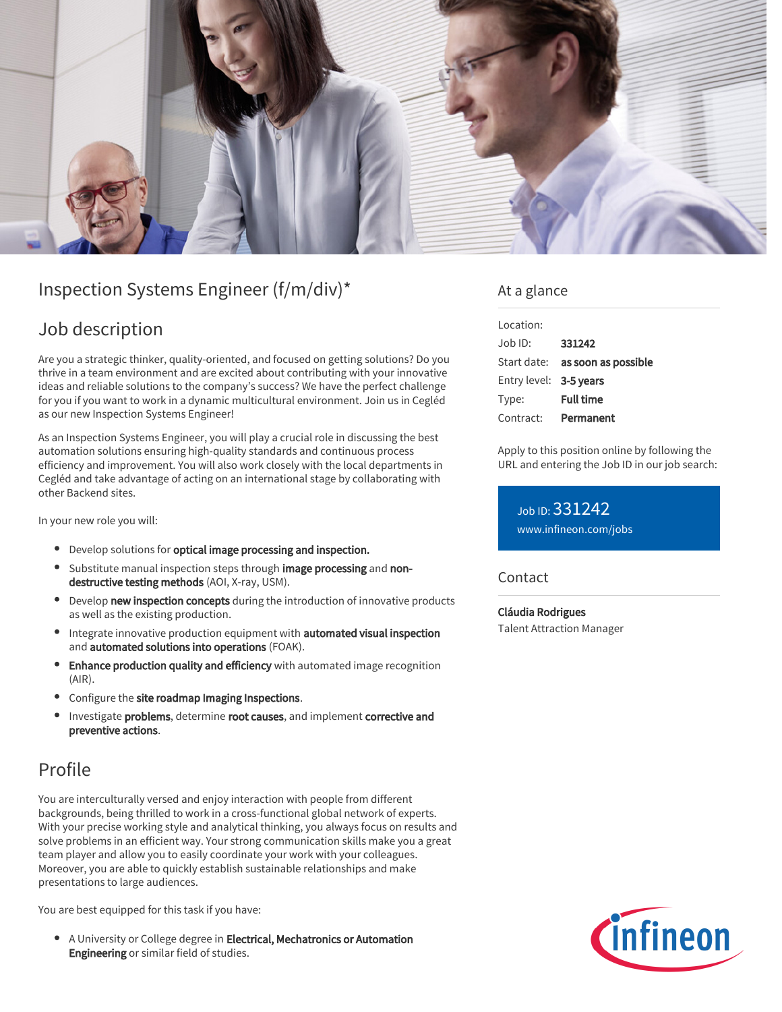

# Inspection Systems Engineer (f/m/div)\*

## Job description

Are you a strategic thinker, quality-oriented, and focused on getting solutions? Do you thrive in a team environment and are excited about contributing with your innovative ideas and reliable solutions to the company's success? We have the perfect challenge for you if you want to work in a dynamic multicultural environment. Join us in Cegléd as our new Inspection Systems Engineer!

As an Inspection Systems Engineer, you will play a crucial role in discussing the best automation solutions ensuring high-quality standards and continuous process efficiency and improvement. You will also work closely with the local departments in Cegléd and take advantage of acting on an international stage by collaborating with other Backend sites.

In your new role you will:

- **•** Develop solutions for **optical image processing and inspection.**
- Substitute manual inspection steps through image processing and nondestructive testing methods (AOI, X-ray, USM).
- **•** Develop new inspection concepts during the introduction of innovative products as well as the existing production.
- Integrate innovative production equipment with automated visual inspection and automated solutions into operations (FOAK).
- Enhance production quality and efficiency with automated image recognition (AIR).
- Configure the site roadmap Imaging Inspections.
- Investigate problems, determine root causes, and implement corrective and preventive actions.

# Profile

You are interculturally versed and enjoy interaction with people from different backgrounds, being thrilled to work in a cross-functional global network of experts. With your precise working style and analytical thinking, you always focus on results and solve problems in an efficient way. Your strong communication skills make you a great team player and allow you to easily coordinate your work with your colleagues. Moreover, you are able to quickly establish sustainable relationships and make presentations to large audiences.

You are best equipped for this task if you have:

• A University or College degree in Electrical, Mechatronics or Automation Engineering or similar field of studies.

### At a glance

| Location:              |                                 |
|------------------------|---------------------------------|
| $Joh$ ID:              | 331242                          |
|                        | Start date: as soon as possible |
| Entry level: 3-5 years |                                 |
| Type:                  | <b>Full time</b>                |
| Contract:              | Permanent                       |

Apply to this position online by following the URL and entering the Job ID in our job search:

Job ID: 331242 [www.infineon.com/jobs](https://www.infineon.com/jobs)

Contact

Cláudia Rodrigues Talent Attraction Manager